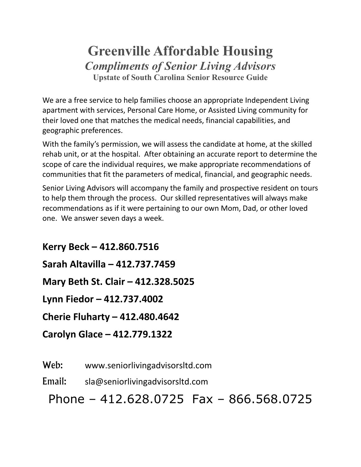## **Greenville Affordable Housing** *Compliments of Senior Living Advisors* **Upstate of South Carolina Senior Resource Guide**

We are a free service to help families choose an appropriate Independent Living apartment with services, Personal Care Home, or Assisted Living community for their loved one that matches the medical needs, financial capabilities, and geographic preferences.

With the family's permission, we will assess the candidate at home, at the skilled rehab unit, or at the hospital. After obtaining an accurate report to determine the scope of care the individual requires, we make appropriate recommendations of communities that fit the parameters of medical, financial, and geographic needs.

Senior Living Advisors will accompany the family and prospective resident on tours to help them through the process. Our skilled representatives will always make recommendations as if it were pertaining to our own Mom, Dad, or other loved one. We answer seven days a week.

**Kerry Beck – 412.860.7516 Sarah Altavilla – 412.737.7459 Mary Beth St. Clair – 412.328.5025 Lynn Fiedor – 412.737.4002 Cherie Fluharty – 412.480.4642 Carolyn Glace – 412.779.1322**

Web: www.seniorlivingadvisorsItd.com

Email: sla@seniorlivingadvisorsltd.com

Phone – 412.628.0725 Fax – 866.568.0725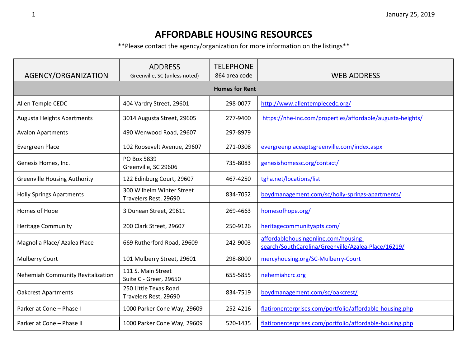## **AFFORDABLE HOUSING RESOURCES**

\*\*Please contact the agency/organization for more information on the listings\*\*

| AGENCY/ORGANIZATION                 | <b>ADDRESS</b><br>Greenville, SC (unless noted)    | <b>TELEPHONE</b><br>864 area code | <b>WEB ADDRESS</b>                                                                          |  |  |
|-------------------------------------|----------------------------------------------------|-----------------------------------|---------------------------------------------------------------------------------------------|--|--|
| <b>Homes for Rent</b>               |                                                    |                                   |                                                                                             |  |  |
| Allen Temple CEDC                   | 404 Vardry Street, 29601                           | 298-0077                          | http://www.allentemplecedc.org/                                                             |  |  |
| <b>Augusta Heights Apartments</b>   | 3014 Augusta Street, 29605                         | 277-9400                          | https://nhe-inc.com/properties/affordable/augusta-heights/                                  |  |  |
| <b>Avalon Apartments</b>            | 490 Wenwood Road, 29607                            | 297-8979                          |                                                                                             |  |  |
| <b>Evergreen Place</b>              | 102 Roosevelt Avenue, 29607                        | 271-0308                          | evergreenplaceaptsgreenville.com/index.aspx                                                 |  |  |
| Genesis Homes, Inc.                 | PO Box 5839<br>Greenville, SC 29606                | 735-8083                          | genesishomessc.org/contact/                                                                 |  |  |
| <b>Greenville Housing Authority</b> | 122 Edinburg Court, 29607                          | 467-4250                          | tgha.net/locations/list                                                                     |  |  |
| <b>Holly Springs Apartments</b>     | 300 Wilhelm Winter Street<br>Travelers Rest, 29690 | 834-7052                          | boydmanagement.com/sc/holly-springs-apartments/                                             |  |  |
| Homes of Hope                       | 3 Dunean Street, 29611                             | 269-4663                          | homesofhope.org/                                                                            |  |  |
| <b>Heritage Community</b>           | 200 Clark Street, 29607                            | 250-9126                          | heritagecommunityapts.com/                                                                  |  |  |
| Magnolia Place/ Azalea Place        | 669 Rutherford Road, 29609                         | 242-9003                          | affordablehousingonline.com/housing-<br>search/SouthCarolina/Greenville/Azalea-Place/16219/ |  |  |
| <b>Mulberry Court</b>               | 101 Mulberry Street, 29601                         | 298-8000                          | mercyhousing.org/SC-Mulberry-Court                                                          |  |  |
| Nehemiah Community Revitalization   | 111 S. Main Street<br>Suite C - Greer, 29650       | 655-5855                          | nehemiahcrc.org                                                                             |  |  |
| <b>Oakcrest Apartments</b>          | 250 Little Texas Road<br>Travelers Rest, 29690     | 834-7519                          | boydmanagement.com/sc/oakcrest/                                                             |  |  |
| Parker at Cone - Phase I            | 1000 Parker Cone Way, 29609                        | 252-4216                          | flatironenterprises.com/portfolio/affordable-housing.php                                    |  |  |
| Parker at Cone - Phase II           | 1000 Parker Cone Way, 29609                        | 520-1435                          | flatironenterprises.com/portfolio/affordable-housing.php                                    |  |  |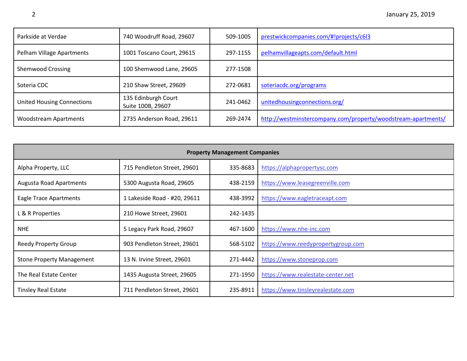| Parkside at Verdae                | 740 Woodruff Road, 29607                 | 509-1005 | prestwickcompanies.com/#!projects/c6l3                        |
|-----------------------------------|------------------------------------------|----------|---------------------------------------------------------------|
| Pelham Village Apartments         | 1001 Toscano Court, 29615                | 297-1155 | pelhamvillageapts.com/default.html                            |
| <b>Shemwood Crossing</b>          | 100 Shemwood Lane, 29605                 | 277-1508 |                                                               |
| Soteria CDC                       | 210 Shaw Street, 29609                   | 272-0681 | soteriacdc.org/programs                                       |
| <b>United Housing Connections</b> | 135 Edinburgh Court<br>Suite 100B, 29607 | 241-0462 | unitedhousing connections.org/                                |
| <b>Woodstream Apartments</b>      | 2735 Anderson Road, 29611                | 269-2474 | http://westminstercompany.com/property/woodstream-apartments/ |

| <b>Property Management Companies</b> |                              |          |                                    |  |
|--------------------------------------|------------------------------|----------|------------------------------------|--|
| Alpha Property, LLC                  | 715 Pendleton Street, 29601  | 335-8683 | https://alphapropertysc.com        |  |
| <b>Augusta Road Apartments</b>       | 5300 Augusta Road, 29605     | 438-2159 | https://www.leasegreenville.com    |  |
| Eagle Trace Apartments               | 1 Lakeside Road - #20, 29611 | 438-3992 | https://www.eagletraceapt.com      |  |
| L & R Properties                     | 210 Howe Street, 29601       | 242-1435 |                                    |  |
| <b>NHE</b>                           | 5 Legacy Park Road, 29607    | 467-1600 | https://www.nhe-inc.com            |  |
| <b>Reedy Property Group</b>          | 903 Pendleton Street, 29601  | 568-5102 | https://www.reedypropertygroup.com |  |
| <b>Stone Property Management</b>     | 13 N. Irvine Street, 29601   | 271-4442 | https://www.stoneprop.com          |  |
| The Real Estate Center               | 1435 Augusta Street, 29605   | 271-1950 | https://www.realestate-center.net  |  |
| <b>Tinsley Real Estate</b>           | 711 Pendleton Street, 29601  | 235-8911 | https://www.tinsleyrealestate.com  |  |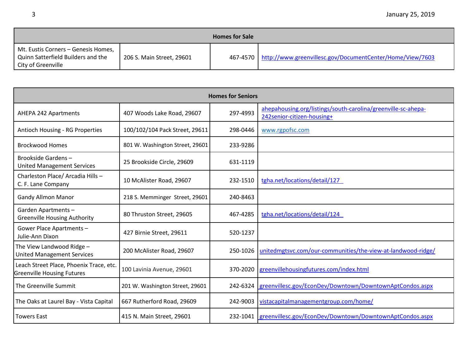| <b>Homes for Sale</b>                                                                           |                           |  |                                                                      |  |
|-------------------------------------------------------------------------------------------------|---------------------------|--|----------------------------------------------------------------------|--|
| Mt. Eustis Corners - Genesis Homes,<br>Quinn Satterfield Builders and the<br>City of Greenville | 206 S. Main Street, 29601 |  | 467-4570   http://www.greenvillesc.gov/DocumentCenter/Home/View/7603 |  |

| <b>Homes for Seniors</b>                                                     |                                 |          |                                                                                             |  |
|------------------------------------------------------------------------------|---------------------------------|----------|---------------------------------------------------------------------------------------------|--|
| <b>AHEPA 242 Apartments</b>                                                  | 407 Woods Lake Road, 29607      | 297-4993 | ahepahousing.org/listings/south-carolina/greenville-sc-ahepa-<br>242senior-citizen-housing+ |  |
| Antioch Housing - RG Properties                                              | 100/102/104 Pack Street, 29611  | 298-0446 | www.rgpofsc.com                                                                             |  |
| <b>Brockwood Homes</b>                                                       | 801 W. Washington Street, 29601 | 233-9286 |                                                                                             |  |
| Brookside Gardens-<br><b>United Management Services</b>                      | 25 Brookside Circle, 29609      | 631-1119 |                                                                                             |  |
| Charleston Place/ Arcadia Hills -<br>C. F. Lane Company                      | 10 McAlister Road, 29607        | 232-1510 | tgha.net/locations/detail/127                                                               |  |
| <b>Gandy Allmon Manor</b>                                                    | 218 S. Memminger Street, 29601  | 240-8463 |                                                                                             |  |
| Garden Apartments-<br><b>Greenville Housing Authority</b>                    | 80 Thruston Street, 29605       | 467-4285 | tgha.net/locations/detail/124                                                               |  |
| Gower Place Apartments -<br>Julie-Ann Dixon                                  | 427 Birnie Street, 29611        | 520-1237 |                                                                                             |  |
| The View Landwood Ridge -<br><b>United Management Services</b>               | 200 McAlister Road, 29607       | 250-1026 | unitedmgtsvc.com/our-communities/the-view-at-landwood-ridge/                                |  |
| Leach Street Place, Phoenix Trace, etc.<br><b>Greenville Housing Futures</b> | 100 Lavinia Avenue, 29601       | 370-2020 | greenvillehousingfutures.com/index.html                                                     |  |
| The Greenville Summit                                                        | 201 W. Washington Street, 29601 | 242-6324 | greenvillesc.gov/EconDev/Downtown/DowntownAptCondos.aspx                                    |  |
| The Oaks at Laurel Bay - Vista Capital                                       | 667 Rutherford Road, 29609      | 242-9003 | vistacapitalmanagementgroup.com/home/                                                       |  |
| <b>Towers East</b>                                                           | 415 N. Main Street, 29601       |          | 232-1041 greenvillesc.gov/EconDev/Downtown/DowntownAptCondos.aspx                           |  |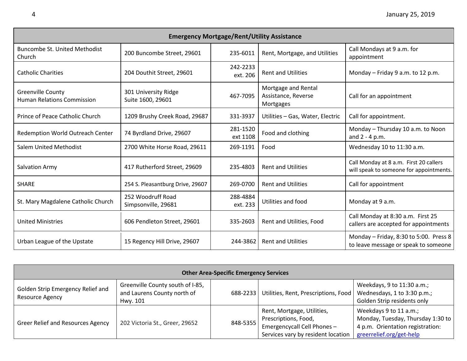| <b>Emergency Mortgage/Rent/Utility Assistance</b>             |                                           |                      |                                                         |                                                                                   |
|---------------------------------------------------------------|-------------------------------------------|----------------------|---------------------------------------------------------|-----------------------------------------------------------------------------------|
| <b>Buncombe St. United Methodist</b><br><b>Church</b>         | 200 Buncombe Street, 29601                | 235-6011             | Rent, Mortgage, and Utilities                           | Call Mondays at 9 a.m. for<br>appointment                                         |
| <b>Catholic Charities</b>                                     | 204 Douthit Street, 29601                 | 242-2233<br>ext. 206 | <b>Rent and Utilities</b>                               | Monday - Friday 9 a.m. to 12 p.m.                                                 |
| <b>Greenville County</b><br><b>Human Relations Commission</b> | 301 University Ridge<br>Suite 1600, 29601 | 467-7095             | Mortgage and Rental<br>Assistance, Reverse<br>Mortgages | Call for an appointment                                                           |
| Prince of Peace Catholic Church                               | 1209 Brushy Creek Road, 29687             | 331-3937             | Utilities - Gas, Water, Electric                        | Call for appointment.                                                             |
| Redemption World Outreach Center                              | 74 Byrdland Drive, 29607                  | 281-1520<br>ext 1108 | Food and clothing                                       | Monday - Thursday 10 a.m. to Noon<br>and $2 - 4$ p.m.                             |
| <b>Salem United Methodist</b>                                 | 2700 White Horse Road, 29611              | 269-1191             | Food                                                    | Wednesday 10 to 11:30 a.m.                                                        |
| Salvation Army                                                | 417 Rutherford Street, 29609              | 235-4803             | <b>Rent and Utilities</b>                               | Call Monday at 8 a.m. First 20 callers<br>will speak to someone for appointments. |
| <b>SHARE</b>                                                  | 254 S. Pleasantburg Drive, 29607          | 269-0700             | <b>Rent and Utilities</b>                               | Call for appointment                                                              |
| St. Mary Magdalene Catholic Church                            | 252 Woodruff Road<br>Simpsonville, 29681  | 288-4884<br>ext. 233 | Utilities and food                                      | Monday at 9 a.m.                                                                  |
| <b>United Ministries</b>                                      | 606 Pendleton Street, 29601               | 335-2603             | Rent and Utilities, Food                                | Call Monday at 8:30 a.m. First 25<br>callers are accepted for appointments        |
| Urban League of the Upstate                                   | 15 Regency Hill Drive, 29607              | 244-3862             | <b>Rent and Utilities</b>                               | Monday - Friday, 8:30 to 5:00. Press 8<br>to leave message or speak to someone    |

| <b>Other Area-Specific Emergency Services</b>        |                                                                             |          |                                                                                                                         |                                                                                                                             |
|------------------------------------------------------|-----------------------------------------------------------------------------|----------|-------------------------------------------------------------------------------------------------------------------------|-----------------------------------------------------------------------------------------------------------------------------|
| Golden Strip Emergency Relief and<br>Resource Agency | Greenville County south of I-85,<br>and Laurens County north of<br>Hwy. 101 | 688-2233 | Utilities, Rent, Prescriptions, Food                                                                                    | Weekdays, 9 to 11:30 a.m.;<br>Wednesdays, 1 to 3:30 p.m.;<br>Golden Strip residents only                                    |
| <b>Greer Relief and Resources Agency</b>             | 202 Victoria St., Greer, 29652                                              | 848-5355 | Rent, Mortgage, Utilities,<br>Prescriptions, Food,<br>Emergencycall Cell Phones -<br>Services vary by resident location | Weekdays 9 to 11 a.m.;<br>Monday, Tuesday, Thursday 1:30 to<br>4 p.m. Orientation registration:<br>greerrelief.org/get-help |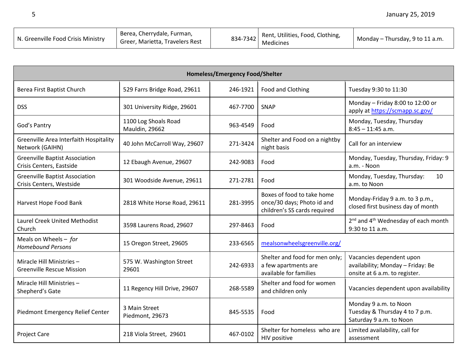| N. Greenville Food Crisis Ministry | Berea, Cherrydale, Furman,<br>Greer, Marietta, Travelers Rest |  | 834-7342 Rent, Utilities, Food, Clothing,<br>Medicines | Monday - Thursday, 9 to 11 a.m. |
|------------------------------------|---------------------------------------------------------------|--|--------------------------------------------------------|---------------------------------|
|------------------------------------|---------------------------------------------------------------|--|--------------------------------------------------------|---------------------------------|

| Homeless/Emergency Food/Shelter                                   |                                               |          |                                                                                          |                                                                                                |
|-------------------------------------------------------------------|-----------------------------------------------|----------|------------------------------------------------------------------------------------------|------------------------------------------------------------------------------------------------|
| Berea First Baptist Church                                        | 529 Farrs Bridge Road, 29611                  | 246-1921 | Food and Clothing                                                                        | Tuesday 9:30 to 11:30                                                                          |
| <b>DSS</b>                                                        | 301 University Ridge, 29601                   | 467-7700 | SNAP                                                                                     | Monday - Friday 8:00 to 12:00 or<br>apply at https://scmapp.sc.gov/                            |
| God's Pantry                                                      | 1100 Log Shoals Road<br><b>Mauldin, 29662</b> | 963-4549 | Food                                                                                     | Monday, Tuesday, Thursday<br>$8:45 - 11:45$ a.m.                                               |
| Greenville Area Interfaith Hospitality<br>Network (GAIHN)         | 40 John McCarroll Way, 29607                  | 271-3424 | Shelter and Food on a nightby<br>night basis                                             | Call for an interview                                                                          |
| <b>Greenville Baptist Association</b><br>Crisis Centers, Eastside | 12 Ebaugh Avenue, 29607                       | 242-9083 | Food                                                                                     | Monday, Tuesday, Thursday, Friday: 9<br>a.m. - Noon                                            |
| <b>Greenville Baptist Association</b><br>Crisis Centers, Westside | 301 Woodside Avenue, 29611                    | 271-2781 | Food                                                                                     | Monday, Tuesday, Thursday:<br>10<br>a.m. to Noon                                               |
| Harvest Hope Food Bank                                            | 2818 White Horse Road, 29611                  | 281-3995 | Boxes of food to take home<br>once/30 days; Photo id and<br>children's SS cards required | Monday-Friday 9 a.m. to 3 p.m.,<br>closed first business day of month                          |
| <b>Laurel Creek United Methodist</b><br>Church                    | 3598 Laurens Road, 29607                      | 297-8463 | Food                                                                                     | 2 <sup>nd</sup> and 4 <sup>th</sup> Wednesday of each month<br>9:30 to 11 a.m.                 |
| Meals on Wheels $-$ for<br><b>Homebound Persons</b>               | 15 Oregon Street, 29605                       | 233-6565 | mealsonwheelsgreenville.org/                                                             |                                                                                                |
| Miracle Hill Ministries-<br><b>Greenville Rescue Mission</b>      | 575 W. Washington Street<br>29601             | 242-6933 | Shelter and food for men only;<br>a few apartments are<br>available for families         | Vacancies dependent upon<br>availability; Monday - Friday: Be<br>onsite at 6 a.m. to register. |
| Miracle Hill Ministries -<br>Shepherd's Gate                      | 11 Regency Hill Drive, 29607                  | 268-5589 | Shelter and food for women<br>and children only                                          | Vacancies dependent upon availability                                                          |
| Piedmont Emergency Relief Center                                  | 3 Main Street<br>Piedmont, 29673              | 845-5535 | Food                                                                                     | Monday 9 a.m. to Noon<br>Tuesday & Thursday 4 to 7 p.m.<br>Saturday 9 a.m. to Noon             |
| <b>Project Care</b>                                               | 218 Viola Street, 29601                       | 467-0102 | Shelter for homeless who are<br>HIV positive                                             | Limited availability, call for<br>assessment                                                   |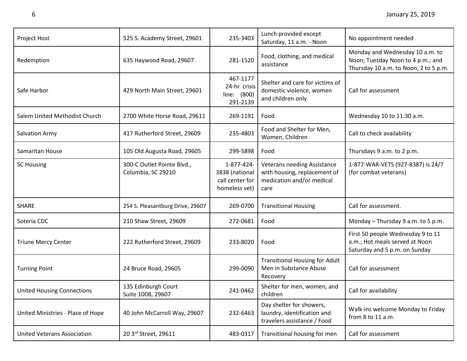| Project Host                       | 525 S. Academy Street, 29601                     | 235-3403                                                         | Lunch provided except<br>Saturday, 11 a.m. - Noon                                                       | No appointment needed                                                                                         |
|------------------------------------|--------------------------------------------------|------------------------------------------------------------------|---------------------------------------------------------------------------------------------------------|---------------------------------------------------------------------------------------------------------------|
| Redemption                         | 635 Haywood Road, 29607                          | 281-1520                                                         | Food, clothing, and medical<br>assistance                                                               | Monday and Wednesday 10 a.m. to<br>Noon; Tuesday Noon to 4 p.m.; and<br>Thursday 10 a.m. to Noon, 2 to 5 p.m. |
| Safe Harbor                        | 429 North Main Street, 29601                     | 467-1177<br>24-hr crisis<br>line: (800)<br>291-2139              | Shelter and care for victims of<br>domestic violence, women<br>and children only                        | Call for assessment                                                                                           |
| Salem United Methodist Church      | 2700 White Horse Road, 29611                     | 269-1191                                                         | Food                                                                                                    | Wednesday 10 to 11:30 a.m.                                                                                    |
| Salvation Army                     | 417 Rutherford Street, 29609                     | 235-4803                                                         | Food and Shelter for Men,<br>Women, Children                                                            | Call to check availability                                                                                    |
| Samaritan House                    | 105 Old Augusta Road, 29605                      | 299-5898                                                         | Food                                                                                                    | Thursdays 9 a.m. to 2 p.m.                                                                                    |
| <b>SC Housing</b>                  | 300-C Outlet Pointe Blvd.,<br>Columbia, SC 29210 | 1-877-424-<br>3838 (national<br>call center for<br>homeless vet) | <b>Veterans needing Assistance</b><br>with housing, replacement of<br>medication and/or medical<br>care | 1-877-WAR-VETS (927-8387) is 24/7<br>(for combat veterans)                                                    |
| <b>SHARE</b>                       | 254 S. Pleasantburg Drive, 29607                 | 269-0700                                                         | <b>Transitional Housing</b>                                                                             | Call for assessment.                                                                                          |
| Soteria CDC                        | 210 Shaw Street, 29609                           | 272-0681                                                         | Food                                                                                                    | Monday - Thursday 9 a.m. to 5 p.m.                                                                            |
| <b>Triune Mercy Center</b>         | 222 Rutherford Street, 29609                     | 233-8020                                                         | Food                                                                                                    | First 50 people Wednesday 9 to 11<br>a.m.; Hot meals served at Noon<br>Saturday and 5 p.m. on Sunday          |
| <b>Turning Point</b>               | 24 Bruce Road, 29605                             | 299-0090                                                         | <b>Transitional Housing for Adult</b><br>Men in Substance Abuse<br>Recovery                             | Call for assessment                                                                                           |
| United Housing Connections         | 135 Edinburgh Court<br>Suite 100B, 29607         | 241-0462                                                         | Shelter for men, women, and<br>children                                                                 | Call for availability                                                                                         |
| United Ministries - Place of Hope  | 40 John McCarroll Way, 29607                     | 232-6463                                                         | Day shelter for showers,<br>laundry, identification and<br>travelers assistance / Food                  | Walk-ins welcome Monday to Friday<br>from 8 to 11 a.m.                                                        |
| <b>United Veterans Association</b> | 20 3rd Street, 29611                             | 483-0317                                                         | Transitional housing for men                                                                            | Call for assessment                                                                                           |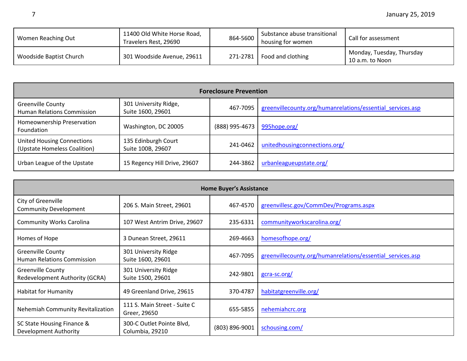| Women Reaching Out      | 11400 Old White Horse Road,<br>Travelers Rest, 29690 | 864-5600 | Substance abuse transitional<br>housing for women | Call for assessment                          |
|-------------------------|------------------------------------------------------|----------|---------------------------------------------------|----------------------------------------------|
| Woodside Baptist Church | 301 Woodside Avenue, 29611                           |          | 271-2781   Food and clothing                      | Monday, Tuesday, Thursday<br>10 a.m. to Noon |

| <b>Foreclosure Prevention</b>                                     |                                            |                |                                                            |  |
|-------------------------------------------------------------------|--------------------------------------------|----------------|------------------------------------------------------------|--|
| <b>Greenville County</b><br>Human Relations Commission            | 301 University Ridge,<br>Suite 1600, 29601 | 467-7095       | greenvillecounty.org/humanrelations/essential services.asp |  |
| Homeownership Preservation<br>Foundation                          | Washington, DC 20005                       | (888) 995-4673 | 995hope.org/                                               |  |
| <b>United Housing Connections</b><br>(Upstate Homeless Coalition) | 135 Edinburgh Court<br>Suite 100B, 29607   | 241-0462       | unitedhousing connections.org/                             |  |
| Urban League of the Upstate                                       | 15 Regency Hill Drive, 29607               | 244-3862       | urbanleagueupstate.org/                                    |  |

| <b>Home Buyer's Assistance</b>                                |                                              |                |                                                            |
|---------------------------------------------------------------|----------------------------------------------|----------------|------------------------------------------------------------|
| City of Greenville<br><b>Community Development</b>            | 206 S. Main Street, 29601                    | 467-4570       | greenvillesc.gov/CommDev/Programs.aspx                     |
| <b>Community Works Carolina</b>                               | 107 West Antrim Drive, 29607                 | 235-6331       | communityworkscarolina.org/                                |
| Homes of Hope                                                 | 3 Dunean Street, 29611                       | 269-4663       | homesofhope.org/                                           |
| <b>Greenville County</b><br><b>Human Relations Commission</b> | 301 University Ridge<br>Suite 1600, 29601    | 467-7095       | greenvillecounty.org/humanrelations/essential services.asp |
| <b>Greenville County</b><br>Redevelopment Authority (GCRA)    | 301 University Ridge<br>Suite 1500, 29601    | 242-9801       | gcra-sc.org/                                               |
| <b>Habitat for Humanity</b>                                   | 49 Greenland Drive, 29615                    | 370-4787       | habitatgreenville.org/                                     |
| Nehemiah Community Revitalization                             | 111 S. Main Street - Suite C<br>Greer, 29650 | 655-5855       | nehemiahcrc.org                                            |
| SC State Housing Finance &<br>Development Authority           | 300-C Outlet Pointe Blvd,<br>Columbia, 29210 | (803) 896-9001 | schousing.com/                                             |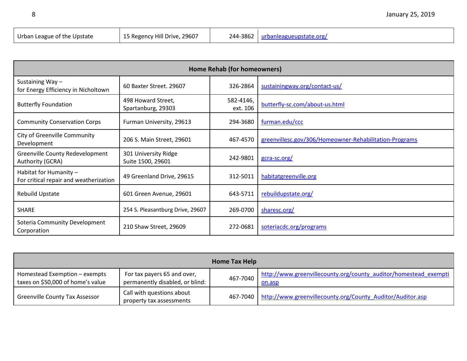| Urban League of the Upstate | 15 Regency Hill Drive, 29607 | 244-3862   urbanleagueupstate.org/ |
|-----------------------------|------------------------------|------------------------------------|

| Home Rehab (for homeowners)                                      |                                           |                       |                                                        |
|------------------------------------------------------------------|-------------------------------------------|-----------------------|--------------------------------------------------------|
| Sustaining Way-<br>for Energy Efficiency in Nicholtown           | 60 Baxter Street. 29607                   | 326-2864              | sustainingway.org/contact-us/                          |
| <b>Butterfly Foundation</b>                                      | 498 Howard Street,<br>Spartanburg, 29303  | 582-4146,<br>ext. 106 | butterfly-sc.com/about-us.html                         |
| <b>Community Conservation Corps</b>                              | Furman University, 29613                  | 294-3680              | furman.edu/ccc                                         |
| City of Greenville Community<br>Development                      | 206 S. Main Street, 29601                 | 467-4570              | greenvillesc.gov/306/Homeowner-Rehabilitation-Programs |
| Greenville County Redevelopment<br>Authority (GCRA)              | 301 University Ridge<br>Suite 1500, 29601 | 242-9801              | gcra-sc.org/                                           |
| Habitat for Humanity -<br>For critical repair and weatherization | 49 Greenland Drive, 29615                 | 312-5011              | habitatgreenville.org                                  |
| Rebuild Upstate                                                  | 601 Green Avenue, 29601                   | 643-5711              | rebuildupstate.org/                                    |
| SHARE                                                            | 254 S. Pleasantburg Drive, 29607          | 269-0700              | sharesc.org/                                           |
| Soteria Community Development<br>Corporation                     | 210 Shaw Street, 29609                    | 272-0681              | soteriacdc.org/programs                                |

| Home Tax Help                                                      |                                                                |          |                                                                            |
|--------------------------------------------------------------------|----------------------------------------------------------------|----------|----------------------------------------------------------------------------|
| Homestead Exemption - exempts<br>taxes on \$50,000 of home's value | For tax payers 65 and over,<br>permanently disabled, or blind: | 467-7040 | http://www.greenvillecounty.org/county_auditor/homestead_exempti<br>on.asp |
| <b>Greenville County Tax Assessor</b>                              | Call with questions about<br>property tax assessments          |          | 467-7040 http://www.greenvillecounty.org/County Auditor/Auditor.asp        |